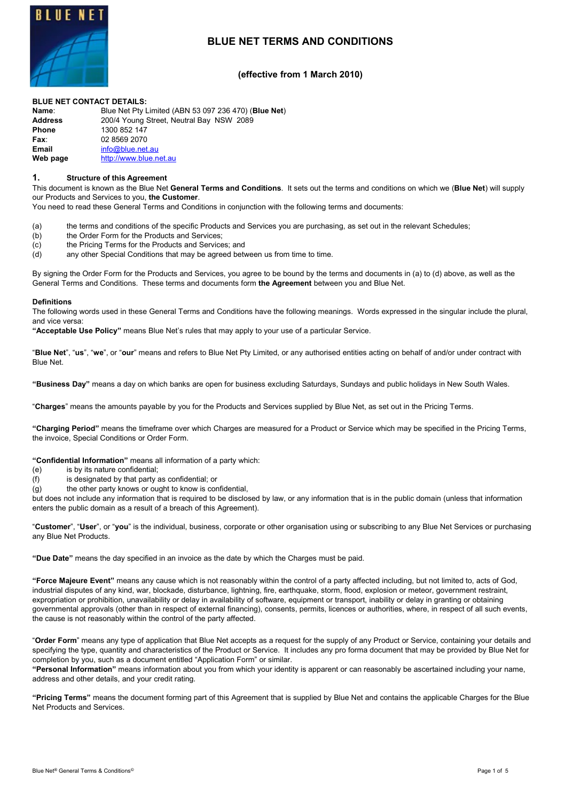

# **BLUE NET TERMS AND CONDITIONS**

# **(effective from 1 March 2010)**

#### **BLUE NET CONTACT DETAILS:**

| Name:          | Blue Net Pty Limited (ABN 53 097 236 470) (Blue Net) |
|----------------|------------------------------------------------------|
| <b>Address</b> | 200/4 Young Street, Neutral Bay NSW 2089             |
| <b>Phone</b>   | 1300 852 147                                         |
| Fax∶           | 02 8569 2070                                         |
| <b>Email</b>   | info@blue.net.au                                     |
| Web page       | http://www.blue.net.au                               |
|                |                                                      |

#### **1. Structure of this Agreement**

This document is known as the Blue Net **General Terms and Conditions**. It sets out the terms and conditions on which we (**Blue Net**) will supply our Products and Services to you, **the Customer**.

You need to read these General Terms and Conditions in conjunction with the following terms and documents:

- (a) the terms and conditions of the specific Products and Services you are purchasing, as set out in the relevant Schedules;
- (b) the Order Form for the Products and Services;
- (c) the Pricing Terms for the Products and Services; and
- (d) any other Special Conditions that may be agreed between us from time to time.

By signing the Order Form for the Products and Services, you agree to be bound by the terms and documents in (a) to (d) above, as well as the General Terms and Conditions. These terms and documents form **the Agreement** between you and Blue Net.

#### **Definitions**

The following words used in these General Terms and Conditions have the following meanings. Words expressed in the singular include the plural, and vice versa:

**"Acceptable Use Policy"** means Blue Net's rules that may apply to your use of a particular Service.

"**Blue Net**", "**us**", "**we**", or "**our**" means and refers to Blue Net Pty Limited, or any authorised entities acting on behalf of and/or under contract with Blue Net.

**"Business Day"** means a day on which banks are open for business excluding Saturdays, Sundays and public holidays in New South Wales.

"**Charges**" means the amounts payable by you for the Products and Services supplied by Blue Net, as set out in the Pricing Terms.

**"Charging Period"** means the timeframe over which Charges are measured for a Product or Service which may be specified in the Pricing Terms, the invoice, Special Conditions or Order Form.

**"Confidential Information"** means all information of a party which:

- (e) is by its nature confidential;
- (f) is designated by that party as confidential; or
- $(g)$  the other party knows or ought to know is confidential,

but does not include any information that is required to be disclosed by law, or any information that is in the public domain (unless that information enters the public domain as a result of a breach of this Agreement).

"**Customer**", "**User**", or "**you**" is the individual, business, corporate or other organisation using or subscribing to any Blue Net Services or purchasing any Blue Net Products.

**"Due Date"** means the day specified in an invoice as the date by which the Charges must be paid.

**"Force Majeure Event"** means any cause which is not reasonably within the control of a party affected including, but not limited to, acts of God, industrial disputes of any kind, war, blockade, disturbance, lightning, fire, earthquake, storm, flood, explosion or meteor, government restraint, expropriation or prohibition, unavailability or delay in availability of software, equipment or transport, inability or delay in granting or obtaining governmental approvals (other than in respect of external financing), consents, permits, licences or authorities, where, in respect of all such events, the cause is not reasonably within the control of the party affected.

"**Order Form**" means any type of application that Blue Net accepts as a request for the supply of any Product or Service, containing your details and specifying the type, quantity and characteristics of the Product or Service. It includes any pro forma document that may be provided by Blue Net for completion by you, such as a document entitled "Application Form" or similar.

**"Personal Information"** means information about you from which your identity is apparent or can reasonably be ascertained including your name, address and other details, and your credit rating.

**"Pricing Terms"** means the document forming part of this Agreement that is supplied by Blue Net and contains the applicable Charges for the Blue Net Products and Services.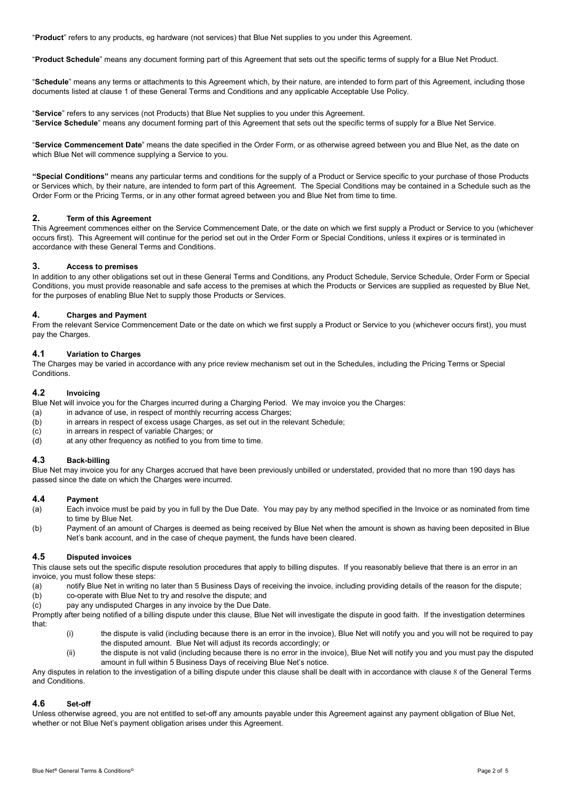"**Product**" refers to any products, eg hardware (not services) that Blue Net supplies to you under this Agreement.

"**Product Schedule**" means any document forming part of this Agreement that sets out the specific terms of supply for a Blue Net Product.

"**Schedule**" means any terms or attachments to this Agreement which, by their nature, are intended to form part of this Agreement, including those documents listed at clause 1 of these General Terms and Conditions and any applicable Acceptable Use Policy.

"**Service**" refers to any services (not Products) that Blue Net supplies to you under this Agreement. "**Service Schedule**" means any document forming part of this Agreement that sets out the specific terms of supply for a Blue Net Service.

"**Service Commencement Date**" means the date specified in the Order Form, or as otherwise agreed between you and Blue Net, as the date on which Blue Net will commence supplying a Service to you.

**"Special Conditions"** means any particular terms and conditions for the supply of a Product or Service specific to your purchase of those Products or Services which, by their nature, are intended to form part of this Agreement. The Special Conditions may be contained in a Schedule such as the Order Form or the Pricing Terms, or in any other format agreed between you and Blue Net from time to time.

#### **2. Term of this Agreement**

This Agreement commences either on the Service Commencement Date, or the date on which we first supply a Product or Service to you (whichever occurs first). This Agreement will continue for the period set out in the Order Form or Special Conditions, unless it expires or is terminated in accordance with these General Terms and Conditions.

#### **3. Access to premises**

In addition to any other obligations set out in these General Terms and Conditions, any Product Schedule, Service Schedule, Order Form or Special Conditions, you must provide reasonable and safe access to the premises at which the Products or Services are supplied as requested by Blue Net, for the purposes of enabling Blue Net to supply those Products or Services.

#### **4. Charges and Payment**

From the relevant Service Commencement Date or the date on which we first supply a Product or Service to you (whichever occurs first), you must pay the Charges.

#### **4.1 Variation to Charges**

The Charges may be varied in accordance with any price review mechanism set out in the Schedules, including the Pricing Terms or Special **Conditions** 

#### **4.2 Invoicing**

Blue Net will invoice you for the Charges incurred during a Charging Period. We may invoice you the Charges:

- (a) in advance of use, in respect of monthly recurring access Charges;
- (b) in arrears in respect of excess usage Charges, as set out in the relevant Schedule;
- (c) in arrears in respect of variable Charges; or
- (d) at any other frequency as notified to you from time to time.

#### **4.3 Back-billing**

Blue Net may invoice you for any Charges accrued that have been previously unbilled or understated, provided that no more than 190 days has passed since the date on which the Charges were incurred.

#### **4.4 Payment**

- (a) Each invoice must be paid by you in full by the Due Date. You may pay by any method specified in the Invoice or as nominated from time to time by Blue Net.
- (b) Payment of an amount of Charges is deemed as being received by Blue Net when the amount is shown as having been deposited in Blue Net's bank account, and in the case of cheque payment, the funds have been cleared.

#### **4.5 Disputed invoices**

This clause sets out the specific dispute resolution procedures that apply to billing disputes. If you reasonably believe that there is an error in an invoice, you must follow these steps:

- (a) notify Blue Net in writing no later than 5 Business Days of receiving the invoice, including providing details of the reason for the dispute;
- (b) co-operate with Blue Net to try and resolve the dispute; and (c) pay any undisputed Charges in any invoice by the Due Date.
- Promptly after being notified of a billing dispute under this clause, Blue Net will investigate the dispute in good faith. If the investigation determines

that:

- (i) the dispute is valid (including because there is an error in the invoice), Blue Net will notify you and you will not be required to pay the disputed amount. Blue Net will adjust its records accordingly; or
- (ii) the dispute is not valid (including because there is no error in the invoice), Blue Net will notify you and you must pay the disputed amount in full within 5 Business Days of receiving Blue Net's notice.

Any disputes in relation to the investigation of a billing dispute under this clause shall be dealt with in accordance with clause [8](#page-2-0) of the General Terms and Conditions.

#### **4.6 Set-off**

Unless otherwise agreed, you are not entitled to set-off any amounts payable under this Agreement against any payment obligation of Blue Net, whether or not Blue Net's payment obligation arises under this Agreement.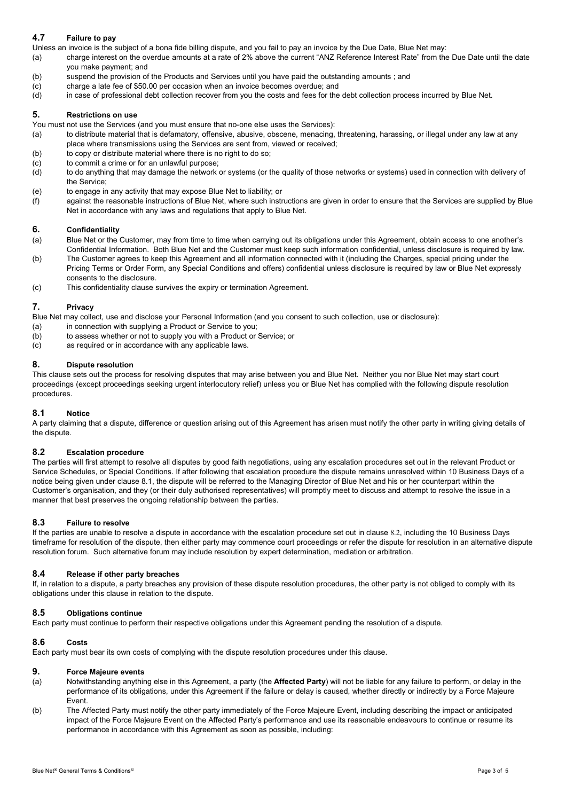# **4.7 Failure to pay**

Unless an invoice is the subject of a bona fide billing dispute, and you fail to pay an invoice by the Due Date, Blue Net may:

(a) charge interest on the overdue amounts at a rate of 2% above the current "ANZ Reference Interest Rate" from the Due Date until the date you make payment; and

- (b) suspend the provision of the Products and Services until you have paid the outstanding amounts ; and
- (c) charge a late fee of \$50.00 per occasion when an invoice becomes overdue; and
- (d) in case of professional debt collection recover from you the costs and fees for the debt collection process incurred by Blue Net.

# **5. Restrictions on use**

You must not use the Services (and you must ensure that no-one else uses the Services):

- (a) to distribute material that is defamatory, offensive, abusive, obscene, menacing, threatening, harassing, or illegal under any law at any place where transmissions using the Services are sent from, viewed or received;
- (b) to copy or distribute material where there is no right to do so;
- (c) to commit a crime or for an unlawful purpose;
- (d) to do anything that may damage the network or systems (or the quality of those networks or systems) used in connection with delivery of the Service;
- (e) to engage in any activity that may expose Blue Net to liability; or
- (f) against the reasonable instructions of Blue Net, where such instructions are given in order to ensure that the Services are supplied by Blue Net in accordance with any laws and regulations that apply to Blue Net.

#### **6. Confidentiality**

- (a) Blue Net or the Customer, may from time to time when carrying out its obligations under this Agreement, obtain access to one another's Confidential Information. Both Blue Net and the Customer must keep such information confidential, unless disclosure is required by law.
- (b) The Customer agrees to keep this Agreement and all information connected with it (including the Charges, special pricing under the Pricing Terms or Order Form, any Special Conditions and offers) confidential unless disclosure is required by law or Blue Net expressly consents to the disclosure.
- (c) This confidentiality clause survives the expiry or termination Agreement.

# **7. Privacy**

Blue Net may collect, use and disclose your Personal Information (and you consent to such collection, use or disclosure):

- (a) in connection with supplying a Product or Service to you:
- (b) to assess whether or not to supply you with a Product or Service; or
- (c) as required or in accordance with any applicable laws.

#### <span id="page-2-0"></span>**8. Dispute resolution**

This clause sets out the process for resolving disputes that may arise between you and Blue Net. Neither you nor Blue Net may start court proceedings (except proceedings seeking urgent interlocutory relief) unless you or Blue Net has complied with the following dispute resolution procedures.

# **8.1 Notice**

A party claiming that a dispute, difference or question arising out of this Agreement has arisen must notify the other party in writing giving details of the dispute.

# <span id="page-2-1"></span>**8.2 Escalation procedure**

The parties will first attempt to resolve all disputes by good faith negotiations, using any escalation procedures set out in the relevant Product or Service Schedules, or Special Conditions. If after following that escalation procedure the dispute remains unresolved within 10 Business Days of a notice being given under clause 8.1, the dispute will be referred to the Managing Director of Blue Net and his or her counterpart within the Customer's organisation, and they (or their duly authorised representatives) will promptly meet to discuss and attempt to resolve the issue in a manner that best preserves the ongoing relationship between the parties.

#### **8.3 Failure to resolve**

If the parties are unable to resolve a dispute in accordance with the escalation procedure set out in clause [8.2](#page-2-1), including the 10 Business Days timeframe for resolution of the dispute, then either party may commence court proceedings or refer the dispute for resolution in an alternative dispute resolution forum. Such alternative forum may include resolution by expert determination, mediation or arbitration.

#### **8.4 Release if other party breaches**

If, in relation to a dispute, a party breaches any provision of these dispute resolution procedures, the other party is not obliged to comply with its obligations under this clause in relation to the dispute.

#### **8.5 Obligations continue**

Each party must continue to perform their respective obligations under this Agreement pending the resolution of a dispute.

# **8.6 Costs**

Each party must bear its own costs of complying with the dispute resolution procedures under this clause.

#### **9. Force Majeure events**

- (a) Notwithstanding anything else in this Agreement, a party (the **Affected Party**) will not be liable for any failure to perform, or delay in the performance of its obligations, under this Agreement if the failure or delay is caused, whether directly or indirectly by a Force Majeure Event.
- (b) The Affected Party must notify the other party immediately of the Force Majeure Event, including describing the impact or anticipated impact of the Force Majeure Event on the Affected Party's performance and use its reasonable endeavours to continue or resume its performance in accordance with this Agreement as soon as possible, including: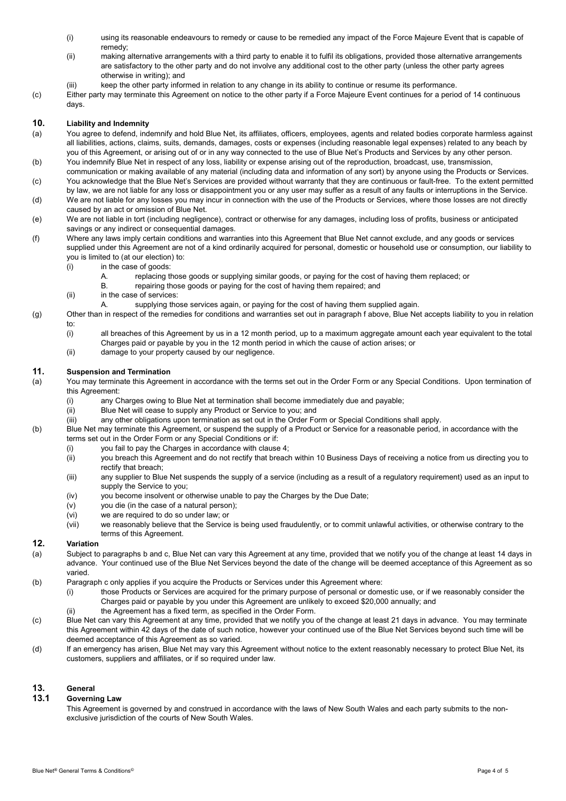- (i) using its reasonable endeavours to remedy or cause to be remedied any impact of the Force Majeure Event that is capable of remedy;
- (ii) making alternative arrangements with a third party to enable it to fulfil its obligations, provided those alternative arrangements are satisfactory to the other party and do not involve any additional cost to the other party (unless the other party agrees otherwise in writing); and
- (iii) keep the other party informed in relation to any change in its ability to continue or resume its performance.
- (c) Either party may terminate this Agreement on notice to the other party if a Force Majeure Event continues for a period of 14 continuous days.

#### **10. Liability and Indemnity**

- (a) You agree to defend, indemnify and hold Blue Net, its affiliates, officers, employees, agents and related bodies corporate harmless against all liabilities, actions, claims, suits, demands, damages, costs or expenses (including reasonable legal expenses) related to any beach by you of this Agreement, or arising out of or in any way connected to the use of Blue Net's Products and Services by any other person.
- (b) You indemnify Blue Net in respect of any loss, liability or expense arising out of the reproduction, broadcast, use, transmission, communication or making available of any material (including data and information of any sort) by anyone using the Products or Services.
- (c) You acknowledge that the Blue Net's Services are provided without warranty that they are continuous or fault-free. To the extent permitted by law, we are not liable for any loss or disappointment you or any user may suffer as a result of any faults or interruptions in the Service.
- (d) We are not liable for any losses you may incur in connection with the use of the Products or Services, where those losses are not directly caused by an act or omission of Blue Net.
- (e) We are not liable in tort (including negligence), contract or otherwise for any damages, including loss of profits, business or anticipated savings or any indirect or consequential damages.
- <span id="page-3-0"></span>(f) Where any laws imply certain conditions and warranties into this Agreement that Blue Net cannot exclude, and any goods or services supplied under this Agreement are not of a kind ordinarily acquired for personal, domestic or household use or consumption, our liability to you is limited to (at our election) to:
	- (i) in the case of goods:
		- A. replacing those goods or supplying similar goods, or paying for the cost of having them replaced; or B. repairing those goods or paying for the cost of having them repaired: and
		- repairing those goods or paying for the cost of having them repaired; and
	- (ii) in the case of services:
		- A. supplying those services again, or paying for the cost of having them supplied again.
- (g) Other than in respect of the remedies for conditions and warranties set out in paragraph [f](#page-3-0) above, Blue Net accepts liability to you in relation to:
	- (i) all breaches of this Agreement by us in a 12 month period, up to a maximum aggregate amount each year equivalent to the total Charges paid or payable by you in the 12 month period in which the cause of action arises; or
	- (ii) damage to your property caused by our negligence.

# **11. Suspension and Termination**

(a) You may terminate this Agreement in accordance with the terms set out in the Order Form or any Special Conditions. Upon termination of this Agreement:

- (i) any Charges owing to Blue Net at termination shall become immediately due and payable;
- (ii) Blue Net will cease to supply any Product or Service to you; and
- (iii) any other obligations upon termination as set out in the Order Form or Special Conditions shall apply.
- (b) Blue Net may terminate this Agreement, or suspend the supply of a Product or Service for a reasonable period, in accordance with the terms set out in the Order Form or any Special Conditions or if:
	- (i) you fail to pay the Charges in accordance with clause 4;
	- (ii) you breach this Agreement and do not rectify that breach within 10 Business Days of receiving a notice from us directing you to rectify that breach;
	- (iii) any supplier to Blue Net suspends the supply of a service (including as a result of a regulatory requirement) used as an input to supply the Service to you;
	- (iv) you become insolvent or otherwise unable to pay the Charges by the Due Date;<br>(v) vou die (in the case of a natural person);
	- you die (in the case of a natural person);
	- (vi) we are required to do so under law; or
	- (vii) we reasonably believe that the Service is being used fraudulently, or to commit unlawful activities, or otherwise contrary to the terms of this Agreement.

# **12. Variation**

- (a) Subject to paragraphs b and c, Blue Net can vary this Agreement at any time, provided that we notify you of the change at least 14 days in advance. Your continued use of the Blue Net Services beyond the date of the change will be deemed acceptance of this Agreement as so varied.
- (b) Paragraph c only applies if you acquire the Products or Services under this Agreement where:
	- (i) those Products or Services are acquired for the primary purpose of personal or domestic use, or if we reasonably consider the Charges paid or payable by you under this Agreement are unlikely to exceed \$20,000 annually; and
	- (ii) the Agreement has a fixed term, as specified in the Order Form.
- (c) Blue Net can vary this Agreement at any time, provided that we notify you of the change at least 21 days in advance. You may terminate this Agreement within 42 days of the date of such notice, however your continued use of the Blue Net Services beyond such time will be deemed acceptance of this Agreement as so varied.
- (d) If an emergency has arisen, Blue Net may vary this Agreement without notice to the extent reasonably necessary to protect Blue Net, its customers, suppliers and affiliates, or if so required under law.

# **13. General**

#### **13.1 Governing Law**

This Agreement is governed by and construed in accordance with the laws of New South Wales and each party submits to the nonexclusive jurisdiction of the courts of New South Wales.